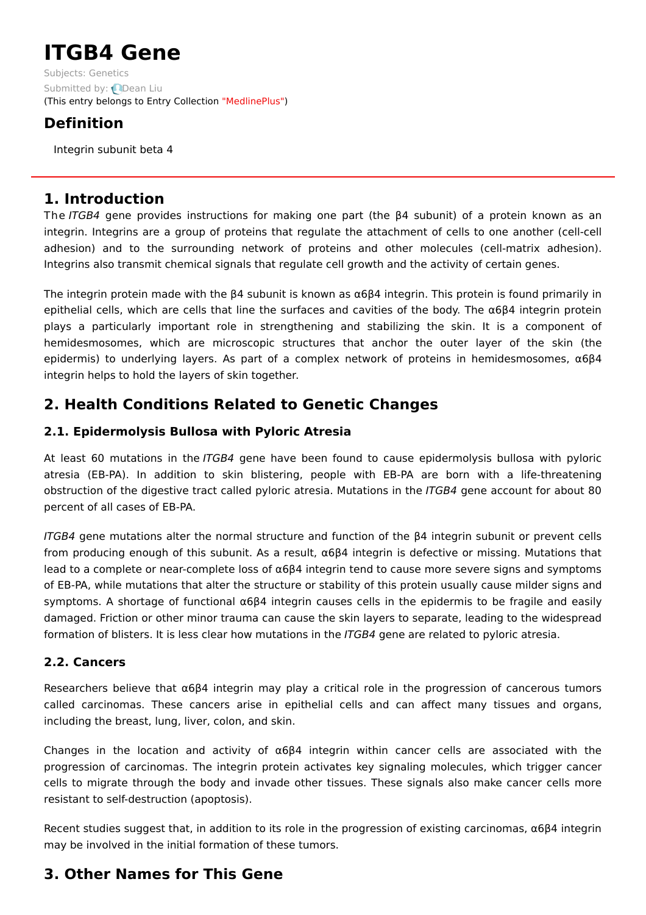# **ITGB4 Gene**

Subjects: [Genetics](https://encyclopedia.pub/item/subject/56) Submitted by: **Q[Dean](https://sciprofiles.com/profile/1156464) Liu** (This entry belongs to Entry Collection ["MedlinePlus"](https://encyclopedia.pub/entry/collection/24))

# **Definition**

Integrin subunit beta 4

## **1. Introduction**

The ITGB4 gene provides instructions for making one part (the β4 subunit) of a protein known as an integrin. Integrins are a group of proteins that regulate the attachment of cells to one another (cell-cell adhesion) and to the surrounding network of proteins and other molecules (cell-matrix adhesion). Integrins also transmit chemical signals that regulate cell growth and the activity of certain genes.

The integrin protein made with the β4 subunit is known as α6β4 integrin. This protein is found primarily in epithelial cells, which are cells that line the surfaces and cavities of the body. The α6β4 integrin protein plays a particularly important role in strengthening and stabilizing the skin. It is a component of hemidesmosomes, which are microscopic structures that anchor the outer layer of the skin (the epidermis) to underlying layers. As part of a complex network of proteins in hemidesmosomes, α6β4 integrin helps to hold the layers of skin together.

## **2. Health Conditions Related to Genetic Changes**

## **2.1. Epidermolysis Bullosa with Pyloric Atresia**

At least 60 mutations in the ITGB4 gene have been found to cause epidermolysis bullosa with pyloric atresia (EB-PA). In addition to skin blistering, people with EB-PA are born with a life-threatening obstruction of the digestive tract called pyloric atresia. Mutations in the ITGB4 gene account for about 80 percent of all cases of EB-PA.

ITGB4 gene mutations alter the normal structure and function of the β4 integrin subunit or prevent cells from producing enough of this subunit. As a result,  $\alpha 6\beta 4$  integrin is defective or missing. Mutations that lead to a complete or near-complete loss of α6β4 integrin tend to cause more severe signs and symptoms of EB-PA, while mutations that alter the structure or stability of this protein usually cause milder signs and symptoms. A shortage of functional α6β4 integrin causes cells in the epidermis to be fragile and easily damaged. Friction or other minor trauma can cause the skin layers to separate, leading to the widespread formation of blisters. It is less clear how mutations in the ITGB4 gene are related to pyloric atresia.

### **2.2. Cancers**

Researchers believe that  $\alpha$ 6 $\beta$ 4 integrin may play a critical role in the progression of cancerous tumors called carcinomas. These cancers arise in epithelial cells and can affect many tissues and organs, including the breast, lung, liver, colon, and skin.

Changes in the location and activity of  $\alpha 6\beta 4$  integrin within cancer cells are associated with the progression of carcinomas. The integrin protein activates key signaling molecules, which trigger cancer cells to migrate through the body and invade other tissues. These signals also make cancer cells more resistant to self-destruction (apoptosis).

Recent studies suggest that, in addition to its role in the progression of existing carcinomas, α6β4 integrin may be involved in the initial formation of these tumors.

## **3. Other Names for This Gene**